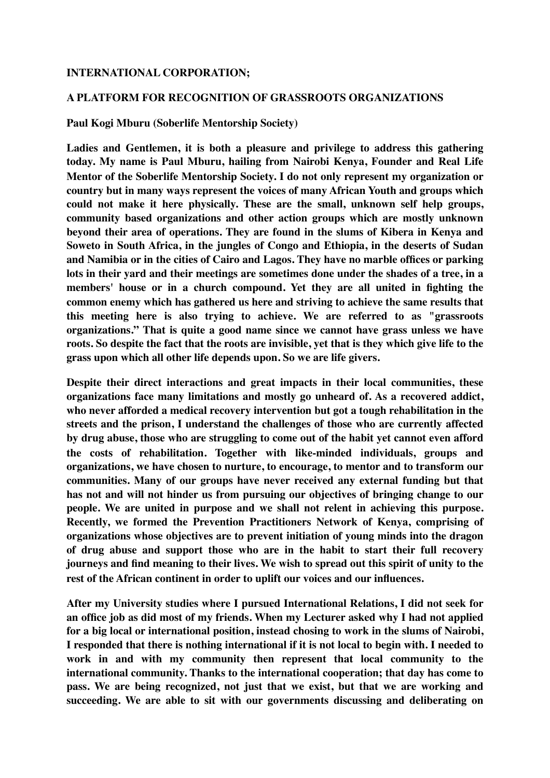## **INTERNATIONAL CORPORATION;**

## **A PLATFORM FOR RECOGNITION OF GRASSROOTS ORGANIZATIONS**

**Paul Kogi Mburu (Soberlife Mentorship Society)**

**Ladies and Gentlemen, it is both a pleasure and privilege to address this gathering today. My name is Paul Mburu, hailing from Nairobi Kenya, Founder and Real Life Mentor of the Soberlife Mentorship Society. I do not only represent my organization or country but in many ways represent the voices of many African Youth and groups which could not make it here physically. These are the small, unknown self help groups, community based organizations and other action groups which are mostly unknown beyond their area of operations. They are found in the slums of Kibera in Kenya and Soweto in South Africa, in the jungles of Congo and Ethiopia, in the deserts of Sudan and Namibia or in the cities of Cairo and Lagos. They have no marble offices or parking lots in their yard and their meetings are sometimes done under the shades of a tree, in a members' house or in a church compound. Yet they are all united in fighting the common enemy which has gathered us here and striving to achieve the same results that this meeting here is also trying to achieve. We are referred to as "grassroots organizations." That is quite a good name since we cannot have grass unless we have roots. So despite the fact that the roots are invisible, yet that is they which give life to the grass upon which all other life depends upon. So we are life givers.**

**Despite their direct interactions and great impacts in their local communities, these organizations face many limitations and mostly go unheard of. As a recovered addict, who never afforded a medical recovery intervention but got a tough rehabilitation in the streets and the prison, I understand the challenges of those who are currently affected by drug abuse, those who are struggling to come out of the habit yet cannot even afford the costs of rehabilitation. Together with like-minded individuals, groups and organizations, we have chosen to nurture, to encourage, to mentor and to transform our communities. Many of our groups have never received any external funding but that has not and will not hinder us from pursuing our objectives of bringing change to our people. We are united in purpose and we shall not relent in achieving this purpose. Recently, we formed the Prevention Practitioners Network of Kenya, comprising of organizations whose objectives are to prevent initiation of young minds into the dragon of drug abuse and support those who are in the habit to start their full recovery journeys and find meaning to their lives. We wish to spread out this spirit of unity to the rest of the African continent in order to uplift our voices and our influences.**

**After my University studies where I pursued International Relations, I did not seek for an office job as did most of my friends. When my Lecturer asked why I had not applied for a big local or international position, instead chosing to work in the slums of Nairobi, I responded that there is nothing international if it is not local to begin with. I needed to work in and with my community then represent that local community to the international community. Thanks to the international cooperation; that day has come to pass. We are being recognized, not just that we exist, but that we are working and succeeding. We are able to sit with our governments discussing and deliberating on**